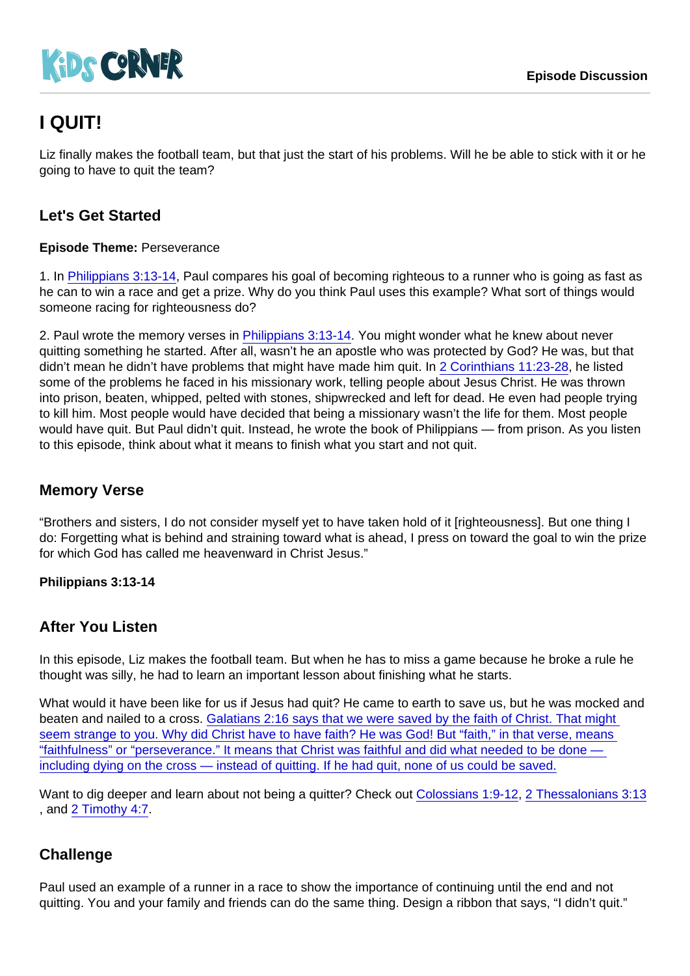# I QUIT!

Liz finally makes the football team, but that just the start of his problems. Will he be able to stick with it or he going to have to quit the team?

## Let's Get Started

Episode Theme: Perseverance

1. In [Philippians 3:13-14](https://www.biblegateway.com/passage/?search=Philippians+3:13-14), Paul compares his goal of becoming righteous to a runner who is going as fast as he can to win a race and get a prize. Why do you think Paul uses this example? What sort of things would someone racing for righteousness do?

2. Paul wrote the memory verses in [Philippians 3:13-14](https://www.biblegateway.com/passage/?search=Philippians+3:13-14). You might wonder what he knew about never quitting something he started. After all, wasn't he an apostle who was protected by God? He was, but that didn't mean he didn't have problems that might have made him quit. In [2 Corinthians 11:23-28,](https://www.biblegateway.com/passage/?search=2+Corinthians+11:23-28) he listed some of the problems he faced in his missionary work, telling people about Jesus Christ. He was thrown into prison, beaten, whipped, pelted with stones, shipwrecked and left for dead. He even had people trying to kill him. Most people would have decided that being a missionary wasn't the life for them. Most people would have quit. But Paul didn't quit. Instead, he wrote the book of Philippians — from prison. As you listen to this episode, think about what it means to finish what you start and not quit.

#### Memory Verse

"Brothers and sisters, I do not consider myself yet to have taken hold of it [righteousness]. But one thing I do: Forgetting what is behind and straining toward what is ahead, I press on toward the goal to win the prize for which God has called me heavenward in Christ Jesus."

Philippians 3:13-14

#### After You Listen

In this episode, Liz makes the football team. But when he has to miss a game because he broke a rule he thought was silly, he had to learn an important lesson about finishing what he starts.

What would it have been like for us if Jesus had quit? He came to earth to save us, but he was mocked and beaten and nailed to a cross. [Galatians 2:16 says that we were saved by the faith of Christ. That might](https://www.biblegateway.com/passage/?search=Galatians+2:16)  seem strange to you. Why did Christ have to have faith? He was God! But "faith," in that verse, means ["faithfulness" or "perseverance." It means that Christ was faithful and did what needed to be done](https://www.biblegateway.com/passage/?search=Galatians+2:16)  [including dying on the cross — instead of quitting. If he had quit, none of us could be saved.](https://www.biblegateway.com/passage/?search=Galatians+2:16)

Want to dig deeper and learn about not being a quitter? Check out [Colossians 1:9-12](https://www.biblegateway.com/passage/?search=Colossians+1:9-12), [2 Thessalonians 3:13](https://www.biblegateway.com/passage/?search=2+Thessalonians+3:13) , and [2 Timothy 4:7](https://www.biblegateway.com/passage/?search=2+Timothy+4:7).

#### **Challenge**

Paul used an example of a runner in a race to show the importance of continuing until the end and not quitting. You and your family and friends can do the same thing. Design a ribbon that says, "I didn't quit."